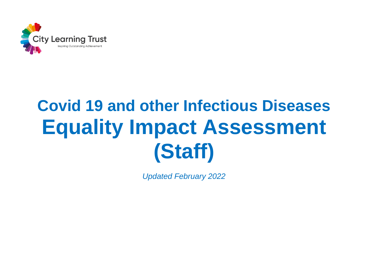

## **Covid 19 and other Infectious Diseases Equality Impact Assessment (Staff)**

*Updated February 2022*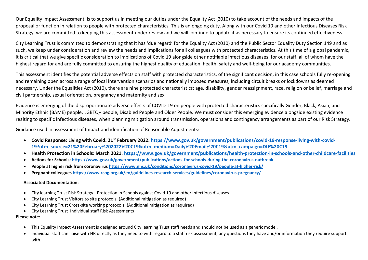Our Equality Impact Assessment is to support us in meeting our duties under the Equality Act (2010) to take account of the needs and impacts of the proposal or function in relation to people with protected characteristics. This is an ongoing duty. Along with our Covid 19 and other Infectious Diseases Risk Strategy, we are committed to keeping this assessment under review and we will continue to update it as necessary to ensure its continued effectiveness.

City Learning Trust is committed to demonstrating that it has 'due regard' for the Equality Act (2010) and the Public Sector Equality Duty Section 149 and as such, we keep under consideration and review the needs and implications for all colleagues with protected characteristics. At this time of a global pandemic, it is critical that we give specific consideration to implications of Covid 19 alongside other notifiable infectious diseases, for our staff, all of whom have the highest regard for and are fully committed to ensuring the highest quality of education, health, safety and well-being for our academy communities.

This assessment identifies the potential adverse effects on staff with protected characteristics, of the significant decision, in this case schools fully re-opening and remaining open across a range of local intervention scenarios and nationally imposed measures, including circuit breaks or lockdowns as deemed necessary. Under the Equalities Act (2010), there are nine protected characteristics: age, disability, gender reassignment, race, religion or belief, marriage and civil partnership, sexual orientation, pregnancy and maternity and sex.

Evidence is emerging of the disproportionate adverse effects of COVID-19 on people with protected characteristics specifically Gender, Black, Asian, and Minority Ethnic (BAME) people, LGBTQ+ people, Disabled People and Older People. We must consider this emerging evidence alongside existing evidence realting to specific infectious diseases, when planning mitigation around transmission, operations and contingency arrangements as part of our Risk Strategy.

Guidance used in assessment of Impact and identification of Reasonable Adjustments:

- **Covid Response: Living with Covid. 21st February 2022. [https://www.gov.uk/government/publications/covid-19-response-living-with-covid-](https://www.gov.uk/government/publications/covid-19-response-living-with-covid-19?utm_source=21%20February%202022%20C19&utm_medium=Daily%20Email%20C19&utm_campaign=DfE%20C19)[19?utm\\_source=21%20February%202022%20C19&utm\\_medium=Daily%20Email%20C19&utm\\_campaign=DfE%20C19](https://www.gov.uk/government/publications/covid-19-response-living-with-covid-19?utm_source=21%20February%202022%20C19&utm_medium=Daily%20Email%20C19&utm_campaign=DfE%20C19)**
- **Health Protection in Schools: March 2021.<https://www.gov.uk/government/publications/health-protection-in-schools-and-other-childcare-facilities>**
- **Actions for Schools:<https://www.gov.uk/government/publications/actions-for-schools-during-the-coronavirus-outbreak>**
- **People at higher risk from coronavirus<https://www.nhs.uk/conditions/coronavirus-covid-19/people-at-higher-risk/>**
- **Pregnant colleague[s https://www.rcog.org.uk/en/guidelines-research-services/guidelines/coronavirus-pregnancy/](https://www.rcog.org.uk/en/guidelines-research-services/guidelines/coronavirus-pregnancy/)**

## **Associated Documentation:**

- City learning Trust Risk Strategy Protection in Schools against Covid 19 and other Infectious diseases
- City Learning Trust Visitors to site protocols. (Additional mitigation as required)
- City Learning Trust Cross-site working protocols. (Additional mitigation as required)
- City Learning Trust Individual staff Risk Assessments

## **Please note:**

- This Equality Impact Assessment is designed around City learning Trust staff needs and should not be used as a generic model.
- Individual staff can liaise with HR directly as they need to with regard to a staff risk assessment, any questions they have and/or information they require support with.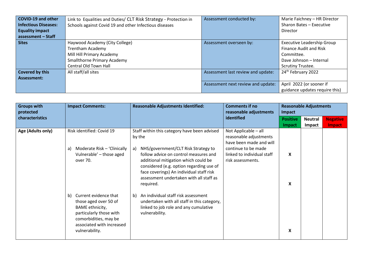| COVID-19 and other               | Link to Equalities and Duties/ CLT Risk Strategy - Protection in | Assessment conducted by:           | Marie Faichney - HR Director      |
|----------------------------------|------------------------------------------------------------------|------------------------------------|-----------------------------------|
| Infectious Diseases:             | Schools against Covid 19 and other Infectious diseases           |                                    | Sharon Bates - Executive          |
| <b>Equality impact</b>           |                                                                  |                                    | Director                          |
| $\frac{1}{2}$ assessment - Staff |                                                                  |                                    |                                   |
| <b>Sites</b>                     | Haywood Academy (City College)                                   | Assessment overseen by:            | <b>Executive Leadership Group</b> |
|                                  | <b>Trentham Academy</b>                                          |                                    | <b>Finance Audit and Risk</b>     |
|                                  | Mill Hill Primary Academy                                        |                                    | Committee.                        |
|                                  | <b>Smallthorne Primary Academy</b>                               |                                    | Dave Johnson - Internal           |
|                                  | Central Old Town Hall                                            |                                    | <b>Scrutiny Trustee.</b>          |
| Covered by this                  | All staff/all sites                                              | Assessment last review and update: | 24 <sup>th</sup> February 2022    |
| Assessment:                      |                                                                  |                                    |                                   |
|                                  |                                                                  | Assessment next review and update: | April 2022 (or sooner if          |
|                                  |                                                                  |                                    | guidance updates require this)    |

| <b>Groups with</b><br>protected | <b>Impact Comments:</b>                                                                                                                                                    | <b>Reasonable Adjustments Identified:</b>                                                                                                                                                                                                                                                                                            | <b>Comments if no</b><br>reasonable adjustments                                                                                                     | <b>Reasonable Adjustments</b><br>Impact |                          |                           |  |
|---------------------------------|----------------------------------------------------------------------------------------------------------------------------------------------------------------------------|--------------------------------------------------------------------------------------------------------------------------------------------------------------------------------------------------------------------------------------------------------------------------------------------------------------------------------------|-----------------------------------------------------------------------------------------------------------------------------------------------------|-----------------------------------------|--------------------------|---------------------------|--|
| characteristics                 |                                                                                                                                                                            |                                                                                                                                                                                                                                                                                                                                      | identified                                                                                                                                          | <b>Positive</b><br>Impact               | <b>Neutral</b><br>Impact | <b>Negative</b><br>Impact |  |
| Age (Adults only)               | Risk identified: Covid 19<br>Moderate Risk - 'Clinically<br>a)<br>Vulnerable' - those aged<br>over 70.                                                                     | Staff within this category have been advised<br>by the<br>NHS/government/CLT Risk Strategy to<br>a)<br>follow advice on control measures and<br>additional mitigation which could be<br>considered (e.g. option regarding use of<br>face coverings) An individual staff risk<br>assessment undertaken with all staff as<br>required. | Not Applicable - all<br>reasonable adjustments<br>have been made and will<br>continue to be made<br>linked to individual staff<br>risk assessments. | X<br>X                                  |                          |                           |  |
|                                 | Current evidence that<br>b)<br>those aged over 50 of<br>BAME ethnicity,<br>particularly those with<br>comorbidities, may be<br>associated with increased<br>vulnerability. | b) An individual staff risk assessment<br>undertaken with all staff in this category,<br>linked to job role and any cumulative<br>vulnerability.                                                                                                                                                                                     |                                                                                                                                                     | X                                       |                          |                           |  |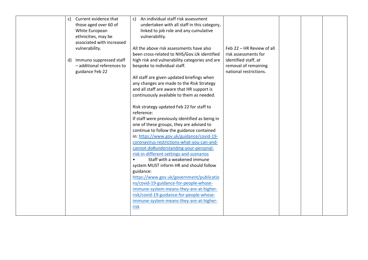| C) | Current evidence that      | An individual staff risk assessment<br>C)       |                           |  |  |
|----|----------------------------|-------------------------------------------------|---------------------------|--|--|
|    | those aged over 60 of      | undertaken with all staff in this category,     |                           |  |  |
|    | White European             | linked to job role and any cumulative           |                           |  |  |
|    | ethnicities, may be        | vulnerability.                                  |                           |  |  |
|    | associated with increased  |                                                 |                           |  |  |
|    | vulnerability.             | All the above risk assessments have also        | Feb 22 - HR Review of all |  |  |
|    |                            | been cross-related to NHS/Gov.Uk identified     | risk assessments for      |  |  |
| d) | Immuno suppressed staff    | high risk and vulnerability categories and are  | identified staff, at      |  |  |
|    | - additional references to | bespoke to individual staff.                    | removal of remaining      |  |  |
|    | guidance Feb 22            |                                                 | national restrictions.    |  |  |
|    |                            | All staff are given updated briefings when      |                           |  |  |
|    |                            | any changes are made to the Risk Strategy       |                           |  |  |
|    |                            | and all staff are aware that HR support is      |                           |  |  |
|    |                            | continuously available to them as needed.       |                           |  |  |
|    |                            |                                                 |                           |  |  |
|    |                            | Risk strategy updated Feb 22 for staff to       |                           |  |  |
|    |                            | reference:                                      |                           |  |  |
|    |                            | If staff were previously identified as being in |                           |  |  |
|    |                            | one of these groups, they are advised to        |                           |  |  |
|    |                            | continue to follow the guidance contained       |                           |  |  |
|    |                            | in: https://www.gov.uk/guidance/covid-19-       |                           |  |  |
|    |                            | coronavirus-restrictions-what-you-can-and-      |                           |  |  |
|    |                            | cannot-do#understanding-your-personal-          |                           |  |  |
|    |                            | risk-in-different-settings-and-scenarios        |                           |  |  |
|    |                            | Staff with a weakened immune<br>$\bullet$       |                           |  |  |
|    |                            | system MUST inform HR and should follow         |                           |  |  |
|    |                            | guidance:                                       |                           |  |  |
|    |                            | https://www.gov.uk/government/publicatio        |                           |  |  |
|    |                            | ns/covid-19-guidance-for-people-whose-          |                           |  |  |
|    |                            | immune-system-means-they-are-at-higher-         |                           |  |  |
|    |                            | risk/covid-19-guidance-for-people-whose-        |                           |  |  |
|    |                            |                                                 |                           |  |  |
|    |                            | immune-system-means-they-are-at-higher-         |                           |  |  |
|    |                            | risk                                            |                           |  |  |
|    |                            |                                                 |                           |  |  |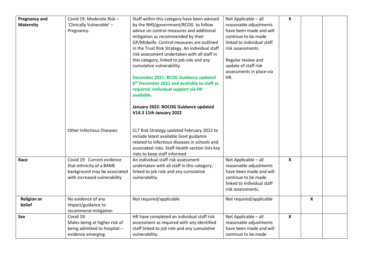| <b>Pregnancy and</b> | Covid 19: Moderate Risk -                                | Staff within this category have been advised                                         | Not Applicable - all                           | $\boldsymbol{\mathsf{X}}$ |                           |  |
|----------------------|----------------------------------------------------------|--------------------------------------------------------------------------------------|------------------------------------------------|---------------------------|---------------------------|--|
| <b>Maternity</b>     | 'Clinically Vulnerable' -                                | by the NHS/government/RCOG to follow                                                 | reasonable adjustments                         |                           |                           |  |
|                      | Pregnancy.                                               | advice on control measures and additional                                            | have been made and will                        |                           |                           |  |
|                      |                                                          | mitigation as recommended by their                                                   | continue to be made                            |                           |                           |  |
|                      |                                                          | GP/Midwife. Control measures are outlined                                            | linked to individual staff                     |                           |                           |  |
|                      |                                                          | in the Trust Risk Strategy. An individual staff                                      | risk assessments.                              |                           |                           |  |
|                      |                                                          | risk assessment undertaken with all staff in                                         |                                                |                           |                           |  |
|                      |                                                          | this category, linked to job role and any                                            | Regular review and                             |                           |                           |  |
|                      |                                                          | cumulative vulnerability.                                                            | update of staff risk                           |                           |                           |  |
|                      |                                                          |                                                                                      | assessments in place via                       |                           |                           |  |
|                      |                                                          | December 2021: RCOG Guidance updated                                                 | HR.                                            |                           |                           |  |
|                      |                                                          | 6 <sup>th</sup> December 2021 and available to staff as                              |                                                |                           |                           |  |
|                      |                                                          | required. Individual support via HR                                                  |                                                |                           |                           |  |
|                      |                                                          | available.                                                                           |                                                |                           |                           |  |
|                      |                                                          | January 2022: ROCOG Guidance updated                                                 |                                                |                           |                           |  |
|                      |                                                          | V14.3 11th January 2022                                                              |                                                |                           |                           |  |
|                      |                                                          |                                                                                      |                                                |                           |                           |  |
|                      |                                                          |                                                                                      |                                                |                           |                           |  |
|                      | <b>Other Infectious Diseases</b>                         | CLT Risk Strategy updated February 2022 to                                           |                                                |                           |                           |  |
|                      |                                                          | include latest available Govt guidance                                               |                                                |                           |                           |  |
|                      |                                                          | related to infectious diseases in schools and                                        |                                                |                           |                           |  |
|                      |                                                          | associated risks. Staff Health section lists key                                     |                                                |                           |                           |  |
|                      | Covid 19: Current evidence                               | risks to keep staff informed<br>An individual staff risk assessment                  |                                                | $\boldsymbol{\mathsf{X}}$ |                           |  |
| Race                 |                                                          |                                                                                      | Not Applicable - all<br>reasonable adjustments |                           |                           |  |
|                      | that ethnicity of a BAME<br>background may be associated | undertaken with all staff in this category,<br>linked to job role and any cumulative | have been made and will                        |                           |                           |  |
|                      | with increased vulnerability                             | vulnerability.                                                                       | continue to be made                            |                           |                           |  |
|                      |                                                          |                                                                                      | linked to individual staff                     |                           |                           |  |
|                      |                                                          |                                                                                      | risk assessments.                              |                           |                           |  |
|                      |                                                          |                                                                                      |                                                |                           |                           |  |
| <b>Religion or</b>   | No evidence of any                                       | Not required/applicable                                                              | Not required/applicable                        |                           | $\boldsymbol{\mathsf{x}}$ |  |
| belief               | impact/guidance to                                       |                                                                                      |                                                |                           |                           |  |
|                      | recommend mitigation                                     |                                                                                      |                                                |                           |                           |  |
| Sex                  | Covid 19:                                                | HR have completed an individual staff risk                                           | Not Applicable - all                           | $\boldsymbol{\mathsf{X}}$ |                           |  |
|                      | Males being at higher risk of                            | assessment as required with any identified                                           | reasonable adjustments                         |                           |                           |  |
|                      | being admitted to hospital -                             | staff linked to job role and any cumulative                                          | have been made and will                        |                           |                           |  |
|                      | evidence emerging.                                       | vulnerability.                                                                       | continue to be made                            |                           |                           |  |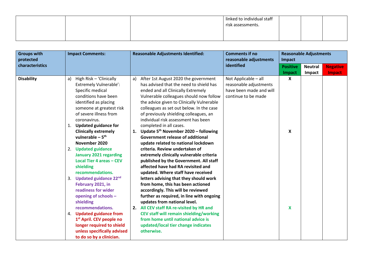|  | linked to individual staff |  |  |
|--|----------------------------|--|--|
|  | risk assessments.          |  |  |
|  |                            |  |  |

| <b>Groups with</b><br>protected | <b>Impact Comments:</b>                                                                                                                                                                                                                                                                                                                                                                                                                                                                                                                                                            | <b>Reasonable Adjustments Identified:</b>                                                                                                                                                                                                                                                                                                                                                                                                                                                                                                                                                                                                                                                                                                                                                                                                                                                                                                                    | <b>Comments if no</b><br>reasonable adjustments                                                  | <b>Reasonable Adjustments</b><br>Impact |                |                 |  |
|---------------------------------|------------------------------------------------------------------------------------------------------------------------------------------------------------------------------------------------------------------------------------------------------------------------------------------------------------------------------------------------------------------------------------------------------------------------------------------------------------------------------------------------------------------------------------------------------------------------------------|--------------------------------------------------------------------------------------------------------------------------------------------------------------------------------------------------------------------------------------------------------------------------------------------------------------------------------------------------------------------------------------------------------------------------------------------------------------------------------------------------------------------------------------------------------------------------------------------------------------------------------------------------------------------------------------------------------------------------------------------------------------------------------------------------------------------------------------------------------------------------------------------------------------------------------------------------------------|--------------------------------------------------------------------------------------------------|-----------------------------------------|----------------|-----------------|--|
| characteristics                 |                                                                                                                                                                                                                                                                                                                                                                                                                                                                                                                                                                                    |                                                                                                                                                                                                                                                                                                                                                                                                                                                                                                                                                                                                                                                                                                                                                                                                                                                                                                                                                              | identified                                                                                       | <b>Positive</b>                         | <b>Neutral</b> | <b>Negative</b> |  |
|                                 |                                                                                                                                                                                                                                                                                                                                                                                                                                                                                                                                                                                    |                                                                                                                                                                                                                                                                                                                                                                                                                                                                                                                                                                                                                                                                                                                                                                                                                                                                                                                                                              |                                                                                                  | Impact                                  | Impact         | Impact          |  |
| <b>Disability</b>               | High Risk - 'Clinically<br>a)<br><b>Extremely Vulnerable':</b><br>Specific medical<br>conditions have been<br>identified as placing<br>someone at greatest risk<br>of severe illness from<br>coronavirus.<br>1. Updated guidance for<br><b>Clinically extremely</b><br>vulnerable $-5$ <sup>th</sup><br>November 2020<br>2. Updated guidance<br><b>January 2021 regarding</b><br><b>Local Tier 4 areas - CEV</b><br>shielding<br>recommendations.<br>3. Updated guidance 22nd<br>February 2021, in<br>readiness for wider<br>opening of schools -<br>shielding<br>recommendations. | After 1st August 2020 the government<br>a)<br>has advised that the need to shield has<br>ended and all Clinically Extremely<br>Vulnerable colleagues should now follow<br>the advice given to Clinically Vulnerable<br>colleagues as set out below. In the case<br>of previously shielding colleagues, an<br>individual risk assessment has been<br>completed in all cases.<br>1. Update $5th$ November 2020 – following<br><b>Government release of additional</b><br>update related to national lockdown<br>criteria. Review undertaken of<br>extremely clinically vulnerable criteria<br>published by the Government. All staff<br>affected have had RA revisited and<br>updated. Where staff have received<br>letters advising that they should work<br>from home, this has been actioned<br>accordingly. This will be reviewed<br>further as required, in line with ongoing<br>updates from national level.<br>2. All CEV staff RA re-visited by HR and | Not Applicable - all<br>reasonable adjustments<br>have been made and will<br>continue to be made | $\boldsymbol{X}$<br>X<br>X              |                |                 |  |
|                                 | 4. Updated guidance from<br>1 <sup>st</sup> April. CEV people no<br>longer required to shield                                                                                                                                                                                                                                                                                                                                                                                                                                                                                      | CEV staff will remain shielding/working<br>from home until national advice is<br>updated/local tier change indicates                                                                                                                                                                                                                                                                                                                                                                                                                                                                                                                                                                                                                                                                                                                                                                                                                                         |                                                                                                  |                                         |                |                 |  |
|                                 | unless specifically advised<br>to do so by a clinician.                                                                                                                                                                                                                                                                                                                                                                                                                                                                                                                            | otherwise.                                                                                                                                                                                                                                                                                                                                                                                                                                                                                                                                                                                                                                                                                                                                                                                                                                                                                                                                                   |                                                                                                  |                                         |                |                 |  |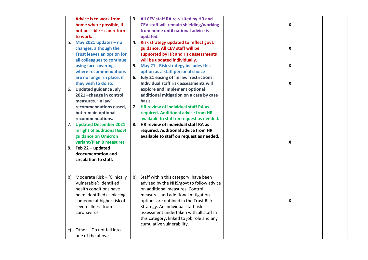|    | <b>Advice is to work from</b>     |    | 3. All CEV staff RA re-visited by HR and       |                           |  |
|----|-----------------------------------|----|------------------------------------------------|---------------------------|--|
|    | home where possible, if           |    | <b>CEV staff will remain shielding/working</b> | X                         |  |
|    | not possible - can return         |    | from home until national advice is             |                           |  |
|    | to work.                          |    | updated.                                       |                           |  |
|    | 5. May 2021 updates $-$ no        |    | 4. Risk strategy updated to reflect govt.      |                           |  |
|    | changes, although the             |    | guidance. All CEV staff will be                | X                         |  |
|    | <b>Trust leaves an option for</b> |    | supported by HR and risk assessments           |                           |  |
|    | all colleagues to continue        |    | will be updated individually.                  |                           |  |
|    | using face coverings              |    | 5. May 21 - Risk strategy includes this        | $\boldsymbol{X}$          |  |
|    | where recommendations             |    | option as a staff personal choice              |                           |  |
|    | are no longer in place, if        |    | 6. July 21 easing of 'in law' restrictions.    |                           |  |
|    | they wish to do so.               |    | Individual staff risk assessments will         | $\boldsymbol{X}$          |  |
|    | 6. Updated guidance July          |    | explore and implement optional                 |                           |  |
|    | 2021 - change in control          |    | additional mitigation on a case by case        |                           |  |
|    | measures. 'In law'                |    | basis.                                         |                           |  |
|    | recommendations eased,            |    | 7. HR review of individual staff RA as         |                           |  |
|    | but remain optional               |    | required. Additional advice from HR            |                           |  |
|    | recommendations.                  |    | available to staff on request as needed.       |                           |  |
|    | 7. Updated December 2021          |    | 8. HR review of individual staff RA as         |                           |  |
|    | in light of additional Govt       |    | required. Additional advice from HR            |                           |  |
|    | guidance on Omicron               |    | available to staff on request as needed.       |                           |  |
|    | variant/Plan B measures           |    |                                                | $\boldsymbol{\mathsf{X}}$ |  |
|    | 8. Feb 22 - updated               |    |                                                |                           |  |
|    | dcocumentation and                |    |                                                |                           |  |
|    | circulation to staff.             |    |                                                |                           |  |
|    |                                   |    |                                                |                           |  |
|    |                                   |    |                                                |                           |  |
|    | b) Moderate Risk - 'Clinically    | b) | Staff within this category, have been          |                           |  |
|    | Vulnerable': Identified           |    | advised by the NHS/govt to follow advice       |                           |  |
|    | health conditions have            |    | on additional measures. Control                |                           |  |
|    | been identified as placing        |    | measures and additional mitigation             |                           |  |
|    | someone at higher risk of         |    | options are outlined in the Trust Risk         | X                         |  |
|    | severe illness from               |    | Strategy. An individual staff risk             |                           |  |
|    | coronavirus.                      |    | assessment undertaken with all staff in        |                           |  |
|    |                                   |    | this category, linked to job role and any      |                           |  |
|    |                                   |    | cumulative vulnerability.                      |                           |  |
| C) | Other - Do not fall into          |    |                                                |                           |  |
|    | one of the above                  |    |                                                |                           |  |